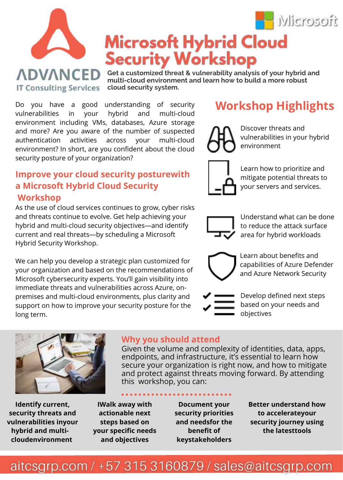

**Get a customized threat & vulnerability analysis of your hybrid and multi-cloud environment and learn how to build a more robust cloud security system.**

Do you have a good understanding of security vulnerabilities in your hybrid and multi-cloud environment including VMs, databases, Azure storage and more? Are you aware of the number of suspected authentication activities across your multi-cloud environment? In short, are you confident about the cloud security posture of your organization?

**IT Consulting Services** 

### **Improve your cloud security posturewith a Microsoft Hybrid Cloud Security Workshop**

As the use of cloud services continues to grow, cyber risks and threats continue to evolve. Get help achieving your hybrid and multi-cloud security objectives—and identify current and real threats—by scheduling a Microsoft Hybrid Security Workshop.

We can help you develop a strategic plan customized for your organization and based on the recommendations of Microsoft cybersecurity experts. You'll gain visibility into immediate threats and vulnerabilities across Azure, onpremises and multi-cloud environments, plus clarity and support on how to improve your security posture for the long term.

# **Workshop Highlights**



Discover threats and vulnerabilities in your hybrid environment

H Microsoft



Learn how to prioritize and mitigate potential threats to your servers and services.



Understand what can be done to reduce the attack surface area for hybrid workloads



Learn about benefits and capabilities of Azure Defender and Azure Network Security



Given the volume and complexity of identities, data, apps, endpoints, and infrastructure, it's essential to learn how

Develop defined next steps based on your needs and objectives



#### secure your organization is right now, and how to mitigate and protect against threats moving forward. By attending this workshop, you can:

**Identify current, security threats and vulnerabilities inyour hybrid and multicloudenvironment** 

**IWalk away with actionable next steps based on your specific needs and objectives**

**Document your security priorities and needsfor the benefit of keystakeholders**

**Better understand how to accelerateyour security journey using the latesttools**

## aitcsgrp.com / +57 315 3160879 / sales@aitcsgrp.com

**Why you should attend**